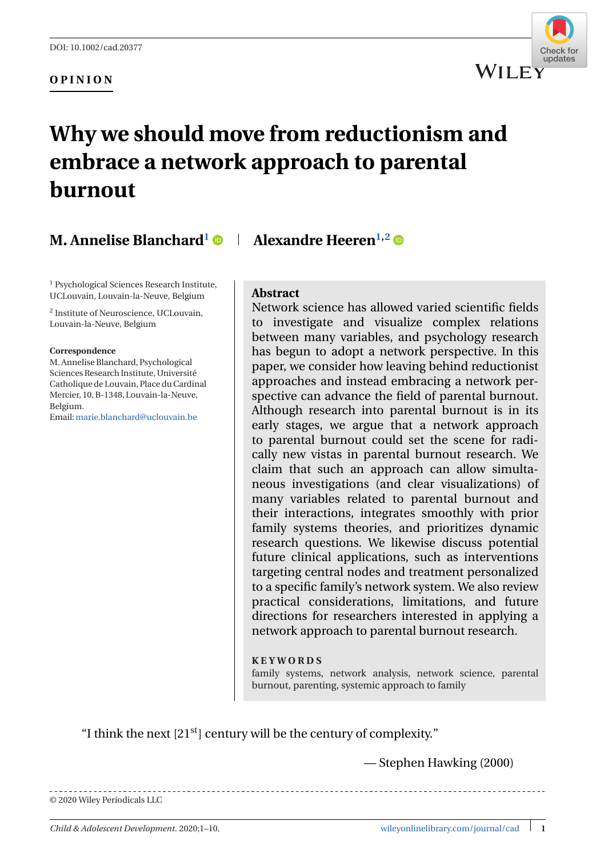### **OPINION**



# **Why we should move from reductionism and embrace a network approach to parental burnout**

# **M. Annelise Blanchard**<sup>1</sup>  $\bullet$  | Alexandre Heeren<sup>1,2</sup>  $\bullet$

<sup>1</sup> Psychological Sciences Research Institute, UCLouvain, Louvain-la-Neuve, Belgium

<sup>2</sup> Institute of Neuroscience, UCLouvain, Louvain-la-Neuve, Belgium

#### **Correspondence**

M. Annelise Blanchard, Psychological Sciences Research Institute, Université Catholique de Louvain, Place du Cardinal Mercier, 10, B-1348, Louvain-la-Neuve, Belgium.

Email:[marie.blanchard@uclouvain.be](mailto:marie.blanchard@uclouvain.be)

#### **Abstract**

Network science has allowed varied scientific fields to investigate and visualize complex relations between many variables, and psychology research has begun to adopt a network perspective. In this paper, we consider how leaving behind reductionist approaches and instead embracing a network perspective can advance the field of parental burnout. Although research into parental burnout is in its early stages, we argue that a network approach to parental burnout could set the scene for radically new vistas in parental burnout research. We claim that such an approach can allow simultaneous investigations (and clear visualizations) of many variables related to parental burnout and their interactions, integrates smoothly with prior family systems theories, and prioritizes dynamic research questions. We likewise discuss potential future clinical applications, such as interventions targeting central nodes and treatment personalized to a specific family's network system. We also review practical considerations, limitations, and future directions for researchers interested in applying a network approach to parental burnout research.

#### **KEYWORDS**

family systems, network analysis, network science, parental burnout, parenting, systemic approach to family

"I think the next  $[21<sup>st</sup>]$  century will be the century of complexity."

— Stephen Hawking (2000)

© 2020 Wiley Periodicals LLC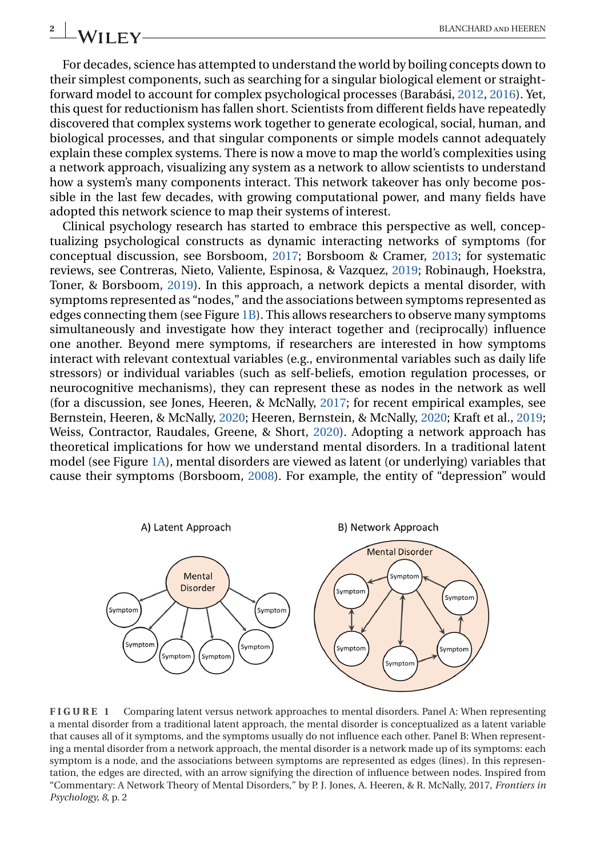For decades, science has attempted to understand the world by boiling concepts down to their simplest components, such as searching for a singular biological element or straightforward model to account for complex psychological processes (Barabási, [2012,](#page-7-0) [2016\)](#page-7-0). Yet, this quest for reductionism has fallen short. Scientists from different fields have repeatedly discovered that complex systems work together to generate ecological, social, human, and biological processes, and that singular components or simple models cannot adequately explain these complex systems. There is now a move to map the world's complexities using a network approach, visualizing any system as a network to allow scientists to understand how a system's many components interact. This network takeover has only become possible in the last few decades, with growing computational power, and many fields have adopted this network science to map their systems of interest.

Clinical psychology research has started to embrace this perspective as well, conceptualizing psychological constructs as dynamic interacting networks of symptoms (for conceptual discussion, see Borsboom, [2017;](#page-7-0) Borsboom & Cramer, [2013;](#page-7-0) for systematic reviews, see Contreras, Nieto, Valiente, Espinosa, & Vazquez, [2019;](#page-8-0) Robinaugh, Hoekstra, Toner, & Borsboom, [2019\)](#page-9-0). In this approach, a network depicts a mental disorder, with symptoms represented as "nodes," and the associations between symptoms represented as edges connecting them (see Figure 1B). This allows researchers to observe many symptoms simultaneously and investigate how they interact together and (reciprocally) influence one another. Beyond mere symptoms, if researchers are interested in how symptoms interact with relevant contextual variables (e.g., environmental variables such as daily life stressors) or individual variables (such as self-beliefs, emotion regulation processes, or neurocognitive mechanisms), they can represent these as nodes in the network as well (for a discussion, see Jones, Heeren, & McNally, [2017;](#page-8-0) for recent empirical examples, see Bernstein, Heeren, & McNally, [2020;](#page-7-0) Heeren, Bernstein, & McNally, [2020;](#page-8-0) Kraft et al., [2019;](#page-8-0) Weiss, Contractor, Raudales, Greene, & Short, [2020\)](#page-9-0). Adopting a network approach has theoretical implications for how we understand mental disorders. In a traditional latent model (see Figure 1A), mental disorders are viewed as latent (or underlying) variables that cause their symptoms (Borsboom, [2008\)](#page-7-0). For example, the entity of "depression" would



**FIGURE 1** Comparing latent versus network approaches to mental disorders. Panel A: When representing a mental disorder from a traditional latent approach, the mental disorder is conceptualized as a latent variable that causes all of it symptoms, and the symptoms usually do not influence each other. Panel B: When representing a mental disorder from a network approach, the mental disorder is a network made up of its symptoms: each symptom is a node, and the associations between symptoms are represented as edges (lines). In this representation, the edges are directed, with an arrow signifying the direction of influence between nodes. Inspired from "Commentary: A Network Theory of Mental Disorders," by P. J. Jones, A. Heeren, & R. McNally, 2017, *Frontiers in Psychology, 8*, p. 2

<span id="page-1-0"></span>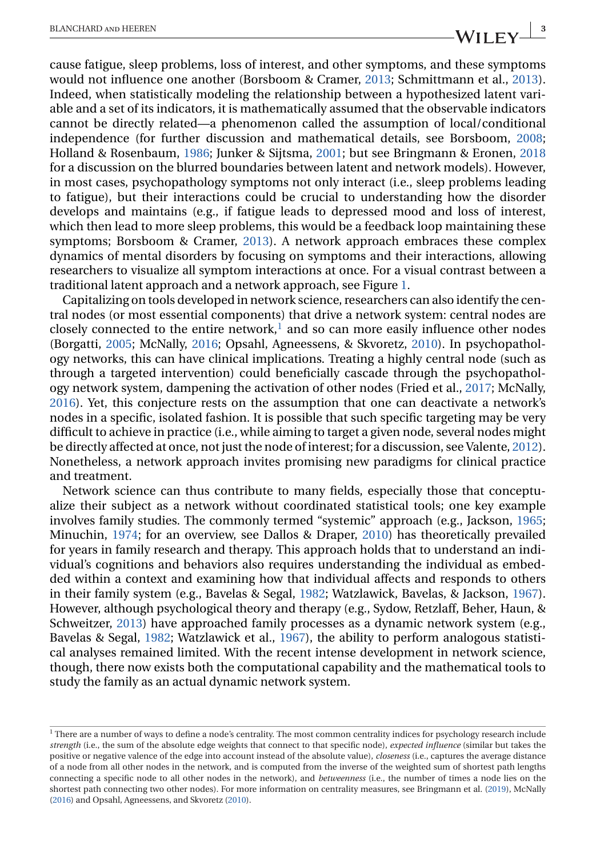cause fatigue, sleep problems, loss of interest, and other symptoms, and these symptoms would not influence one another (Borsboom & Cramer, [2013;](#page-7-0) Schmittmann et al., [2013\)](#page-9-0). Indeed, when statistically modeling the relationship between a hypothesized latent variable and a set of its indicators, it is mathematically assumed that the observable indicators cannot be directly related—a phenomenon called the assumption of local/conditional independence (for further discussion and mathematical details, see Borsboom, [2008;](#page-7-0) Holland & Rosenbaum, [1986;](#page-8-0) Junker & Sijtsma, [2001;](#page-8-0) but see Bringmann & Eronen, [2018](#page-7-0) for a discussion on the blurred boundaries between latent and network models). However, in most cases, psychopathology symptoms not only interact (i.e., sleep problems leading to fatigue), but their interactions could be crucial to understanding how the disorder develops and maintains (e.g., if fatigue leads to depressed mood and loss of interest, which then lead to more sleep problems, this would be a feedback loop maintaining these symptoms; Borsboom & Cramer, [2013\)](#page-7-0). A network approach embraces these complex dynamics of mental disorders by focusing on symptoms and their interactions, allowing researchers to visualize all symptom interactions at once. For a visual contrast between a traditional latent approach and a network approach, see Figure [1.](#page-1-0)

Capitalizing on tools developed in network science, researchers can also identify the central nodes (or most essential components) that drive a network system: central nodes are closely connected to the entire network, $<sup>1</sup>$  and so can more easily influence other nodes</sup> (Borgatti, [2005;](#page-7-0) McNally, [2016;](#page-9-0) Opsahl, Agneessens, & Skvoretz, [2010\)](#page-9-0). In psychopathology networks, this can have clinical implications. Treating a highly central node (such as through a targeted intervention) could beneficially cascade through the psychopathology network system, dampening the activation of other nodes (Fried et al., [2017;](#page-8-0) McNally, [2016\)](#page-9-0). Yet, this conjecture rests on the assumption that one can deactivate a network's nodes in a specific, isolated fashion. It is possible that such specific targeting may be very difficult to achieve in practice (i.e., while aiming to target a given node, several nodes might be directly affected at once, not just the node of interest; for a discussion, see Valente, [2012\)](#page-9-0). Nonetheless, a network approach invites promising new paradigms for clinical practice and treatment.

Network science can thus contribute to many fields, especially those that conceptualize their subject as a network without coordinated statistical tools; one key example involves family studies. The commonly termed "systemic" approach (e.g., Jackson, [1965;](#page-8-0) Minuchin, [1974;](#page-9-0) for an overview, see Dallos & Draper, [2010\)](#page-8-0) has theoretically prevailed for years in family research and therapy. This approach holds that to understand an individual's cognitions and behaviors also requires understanding the individual as embedded within a context and examining how that individual affects and responds to others in their family system (e.g., Bavelas & Segal, [1982;](#page-7-0) Watzlawick, Bavelas, & Jackson, [1967\)](#page-9-0). However, although psychological theory and therapy (e.g., Sydow, Retzlaff, Beher, Haun, & Schweitzer, [2013\)](#page-9-0) have approached family processes as a dynamic network system (e.g., Bavelas & Segal, [1982;](#page-7-0) Watzlawick et al., [1967\)](#page-9-0), the ability to perform analogous statistical analyses remained limited. With the recent intense development in network science, though, there now exists both the computational capability and the mathematical tools to study the family as an actual dynamic network system.

<sup>&</sup>lt;sup>1</sup> There are a number of ways to define a node's centrality. The most common centrality indices for psychology research include *strength* (i.e., the sum of the absolute edge weights that connect to that specific node), *expected influence* (similar but takes the positive or negative valence of the edge into account instead of the absolute value), *closeness* (i.e., captures the average distance of a node from all other nodes in the network, and is computed from the inverse of the weighted sum of shortest path lengths connecting a specific node to all other nodes in the network), and *betweenness* (i.e., the number of times a node lies on the shortest path connecting two other nodes). For more information on centrality measures, see Bringmann et al. [\(2019\)](#page-7-0), McNally [\(2016\)](#page-9-0) and Opsahl, Agneessens, and Skvoretz [\(2010\)](#page-9-0).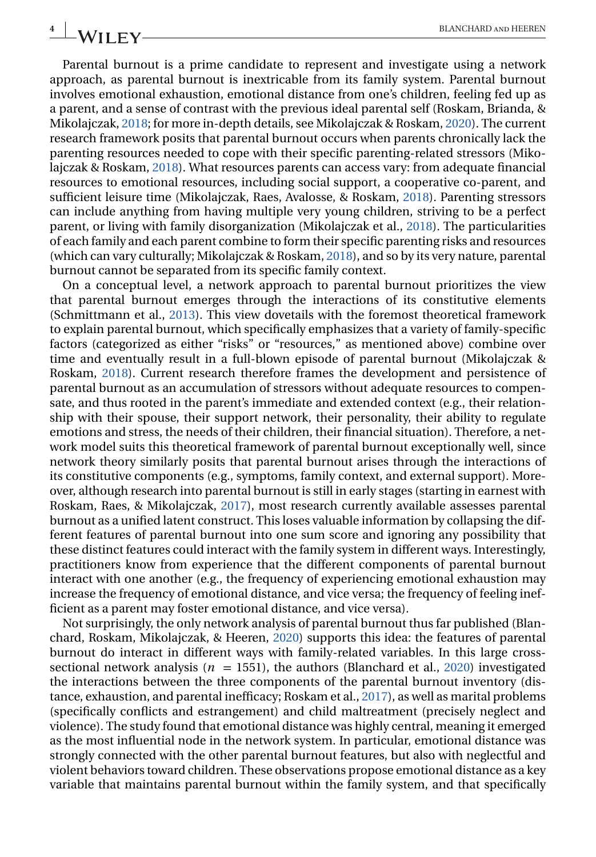Parental burnout is a prime candidate to represent and investigate using a network approach, as parental burnout is inextricable from its family system. Parental burnout involves emotional exhaustion, emotional distance from one's children, feeling fed up as a parent, and a sense of contrast with the previous ideal parental self (Roskam, Brianda, & Mikolajczak, [2018;](#page-9-0) for more in-depth details, see Mikolajczak & Roskam, [2020\)](#page-9-0). The current research framework posits that parental burnout occurs when parents chronically lack the parenting resources needed to cope with their specific parenting-related stressors (Mikolajczak & Roskam, [2018\)](#page-9-0). What resources parents can access vary: from adequate financial resources to emotional resources, including social support, a cooperative co-parent, and sufficient leisure time (Mikolajczak, Raes, Avalosse, & Roskam, [2018\)](#page-9-0). Parenting stressors can include anything from having multiple very young children, striving to be a perfect parent, or living with family disorganization (Mikolajczak et al., [2018\)](#page-9-0). The particularities of each family and each parent combine to form their specific parenting risks and resources (which can vary culturally; Mikolajczak & Roskam, [2018\)](#page-9-0), and so by its very nature, parental burnout cannot be separated from its specific family context.

On a conceptual level, a network approach to parental burnout prioritizes the view that parental burnout emerges through the interactions of its constitutive elements (Schmittmann et al., [2013\)](#page-9-0). This view dovetails with the foremost theoretical framework to explain parental burnout, which specifically emphasizes that a variety of family-specific factors (categorized as either "risks" or "resources," as mentioned above) combine over time and eventually result in a full-blown episode of parental burnout (Mikolajczak & Roskam, [2018\)](#page-9-0). Current research therefore frames the development and persistence of parental burnout as an accumulation of stressors without adequate resources to compensate, and thus rooted in the parent's immediate and extended context (e.g., their relationship with their spouse, their support network, their personality, their ability to regulate emotions and stress, the needs of their children, their financial situation). Therefore, a network model suits this theoretical framework of parental burnout exceptionally well, since network theory similarly posits that parental burnout arises through the interactions of its constitutive components (e.g., symptoms, family context, and external support). Moreover, although research into parental burnout is still in early stages (starting in earnest with Roskam, Raes, & Mikolajczak, [2017\)](#page-9-0), most research currently available assesses parental burnout as a unified latent construct. This loses valuable information by collapsing the different features of parental burnout into one sum score and ignoring any possibility that these distinct features could interact with the family system in different ways. Interestingly, practitioners know from experience that the different components of parental burnout interact with one another (e.g., the frequency of experiencing emotional exhaustion may increase the frequency of emotional distance, and vice versa; the frequency of feeling inefficient as a parent may foster emotional distance, and vice versa).

Not surprisingly, the only network analysis of parental burnout thus far published (Blanchard, Roskam, Mikolajczak, & Heeren, [2020\)](#page-7-0) supports this idea: the features of parental burnout do interact in different ways with family-related variables. In this large crosssectional network analysis ( $n = 1551$ ), the authors (Blanchard et al., [2020\)](#page-7-0) investigated the interactions between the three components of the parental burnout inventory (distance, exhaustion, and parental inefficacy; Roskam et al., [2017\)](#page-9-0), as well as marital problems (specifically conflicts and estrangement) and child maltreatment (precisely neglect and violence). The study found that emotional distance was highly central, meaning it emerged as the most influential node in the network system. In particular, emotional distance was strongly connected with the other parental burnout features, but also with neglectful and violent behaviors toward children. These observations propose emotional distance as a key variable that maintains parental burnout within the family system, and that specifically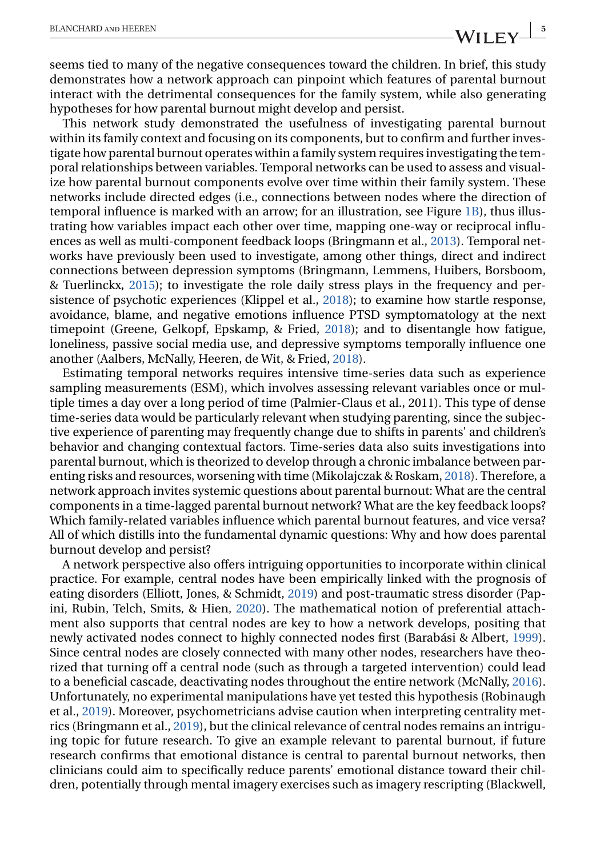seems tied to many of the negative consequences toward the children. In brief, this study demonstrates how a network approach can pinpoint which features of parental burnout interact with the detrimental consequences for the family system, while also generating hypotheses for how parental burnout might develop and persist.

This network study demonstrated the usefulness of investigating parental burnout within its family context and focusing on its components, but to confirm and further investigate how parental burnout operates within a family system requires investigating the temporal relationships between variables. Temporal networks can be used to assess and visualize how parental burnout components evolve over time within their family system. These networks include directed edges (i.e., connections between nodes where the direction of temporal influence is marked with an arrow; for an illustration, see Figure [1B\)](#page-1-0), thus illustrating how variables impact each other over time, mapping one-way or reciprocal influences as well as multi-component feedback loops (Bringmann et al., [2013\)](#page-8-0). Temporal networks have previously been used to investigate, among other things, direct and indirect connections between depression symptoms (Bringmann, Lemmens, Huibers, Borsboom, & Tuerlinckx, [2015\)](#page-7-0); to investigate the role daily stress plays in the frequency and persistence of psychotic experiences (Klippel et al., [2018\)](#page-8-0); to examine how startle response, avoidance, blame, and negative emotions influence PTSD symptomatology at the next timepoint (Greene, Gelkopf, Epskamp, & Fried, [2018\)](#page-8-0); and to disentangle how fatigue, loneliness, passive social media use, and depressive symptoms temporally influence one another (Aalbers, McNally, Heeren, de Wit, & Fried, [2018\)](#page-7-0).

Estimating temporal networks requires intensive time-series data such as experience sampling measurements (ESM), which involves assessing relevant variables once or multiple times a day over a long period of time (Palmier-Claus et al., 2011). This type of dense time-series data would be particularly relevant when studying parenting, since the subjective experience of parenting may frequently change due to shifts in parents' and children's behavior and changing contextual factors. Time-series data also suits investigations into parental burnout, which is theorized to develop through a chronic imbalance between parenting risks and resources, worsening with time (Mikolajczak & Roskam, [2018\)](#page-9-0). Therefore, a network approach invites systemic questions about parental burnout: What are the central components in a time-lagged parental burnout network? What are the key feedback loops? Which family-related variables influence which parental burnout features, and vice versa? All of which distills into the fundamental dynamic questions: Why and how does parental burnout develop and persist?

A network perspective also offers intriguing opportunities to incorporate within clinical practice. For example, central nodes have been empirically linked with the prognosis of eating disorders (Elliott, Jones, & Schmidt, [2019\)](#page-8-0) and post-traumatic stress disorder (Papini, Rubin, Telch, Smits, & Hien, [2020\)](#page-9-0). The mathematical notion of preferential attachment also supports that central nodes are key to how a network develops, positing that newly activated nodes connect to highly connected nodes first (Barabási & Albert, [1999\)](#page-7-0). Since central nodes are closely connected with many other nodes, researchers have theorized that turning off a central node (such as through a targeted intervention) could lead to a beneficial cascade, deactivating nodes throughout the entire network (McNally, [2016\)](#page-9-0). Unfortunately, no experimental manipulations have yet tested this hypothesis (Robinaugh et al., [2019\)](#page-9-0). Moreover, psychometricians advise caution when interpreting centrality metrics (Bringmann et al., [2019\)](#page-7-0), but the clinical relevance of central nodes remains an intriguing topic for future research. To give an example relevant to parental burnout, if future research confirms that emotional distance is central to parental burnout networks, then clinicians could aim to specifically reduce parents' emotional distance toward their children, potentially through mental imagery exercises such as imagery rescripting (Blackwell,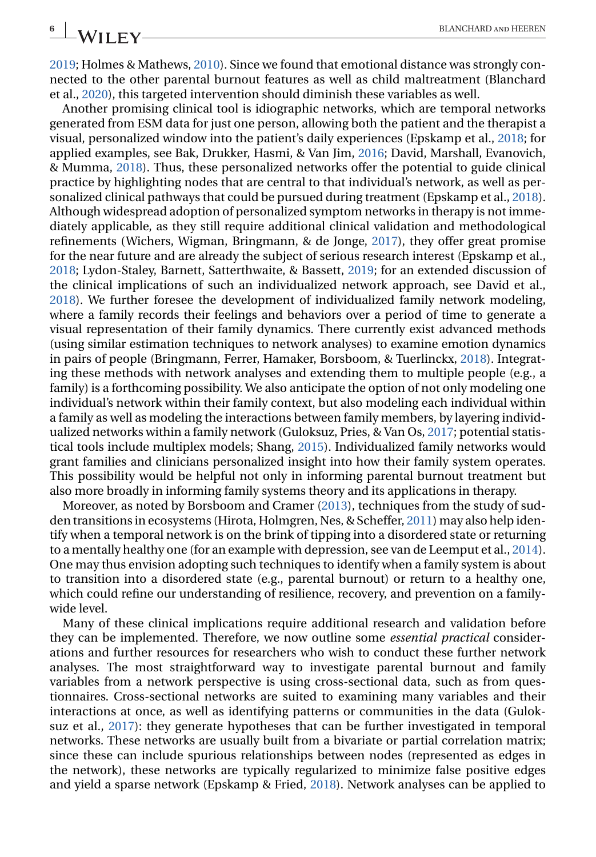[2019;](#page-7-0) Holmes & Mathews, [2010\)](#page-8-0). Since we found that emotional distance was strongly connected to the other parental burnout features as well as child maltreatment (Blanchard et al., [2020\)](#page-7-0), this targeted intervention should diminish these variables as well.

Another promising clinical tool is idiographic networks, which are temporal networks generated from ESM data for just one person, allowing both the patient and the therapist a visual, personalized window into the patient's daily experiences (Epskamp et al., [2018;](#page-8-0) for applied examples, see Bak, Drukker, Hasmi, & Van Jim, [2016;](#page-7-0) David, Marshall, Evanovich, & Mumma, [2018\)](#page-8-0). Thus, these personalized networks offer the potential to guide clinical practice by highlighting nodes that are central to that individual's network, as well as personalized clinical pathways that could be pursued during treatment (Epskamp et al., [2018\)](#page-8-0). Although widespread adoption of personalized symptom networks in therapy is not immediately applicable, as they still require additional clinical validation and methodological refinements (Wichers, Wigman, Bringmann, & de Jonge, [2017\)](#page-9-0), they offer great promise for the near future and are already the subject of serious research interest (Epskamp et al., [2018;](#page-8-0) Lydon-Staley, Barnett, Satterthwaite, & Bassett, [2019;](#page-9-0) for an extended discussion of the clinical implications of such an individualized network approach, see David et al., [2018\)](#page-8-0). We further foresee the development of individualized family network modeling, where a family records their feelings and behaviors over a period of time to generate a visual representation of their family dynamics. There currently exist advanced methods (using similar estimation techniques to network analyses) to examine emotion dynamics in pairs of people (Bringmann, Ferrer, Hamaker, Borsboom, & Tuerlinckx, [2018\)](#page-7-0). Integrating these methods with network analyses and extending them to multiple people (e.g., a family) is a forthcoming possibility. We also anticipate the option of not only modeling one individual's network within their family context, but also modeling each individual within a family as well as modeling the interactions between family members, by layering individualized networks within a family network (Guloksuz, Pries, & Van Os, [2017;](#page-8-0) potential statistical tools include multiplex models; Shang, [2015\)](#page-9-0). Individualized family networks would grant families and clinicians personalized insight into how their family system operates. This possibility would be helpful not only in informing parental burnout treatment but also more broadly in informing family systems theory and its applications in therapy.

Moreover, as noted by Borsboom and Cramer [\(2013\)](#page-7-0), techniques from the study of sudden transitions in ecosystems (Hirota, Holmgren, Nes, & Scheffer, [2011\)](#page-8-0) may also help identify when a temporal network is on the brink of tipping into a disordered state or returning to a mentally healthy one (for an example with depression, see van de Leemput et al., [2014\)](#page-9-0). One may thus envision adopting such techniques to identify when a family system is about to transition into a disordered state (e.g., parental burnout) or return to a healthy one, which could refine our understanding of resilience, recovery, and prevention on a familywide level.

Many of these clinical implications require additional research and validation before they can be implemented. Therefore, we now outline some *essential practical* considerations and further resources for researchers who wish to conduct these further network analyses. The most straightforward way to investigate parental burnout and family variables from a network perspective is using cross-sectional data, such as from questionnaires. Cross-sectional networks are suited to examining many variables and their interactions at once, as well as identifying patterns or communities in the data (Guloksuz et al., [2017\)](#page-8-0): they generate hypotheses that can be further investigated in temporal networks. These networks are usually built from a bivariate or partial correlation matrix; since these can include spurious relationships between nodes (represented as edges in the network), these networks are typically regularized to minimize false positive edges and yield a sparse network (Epskamp & Fried, [2018\)](#page-8-0). Network analyses can be applied to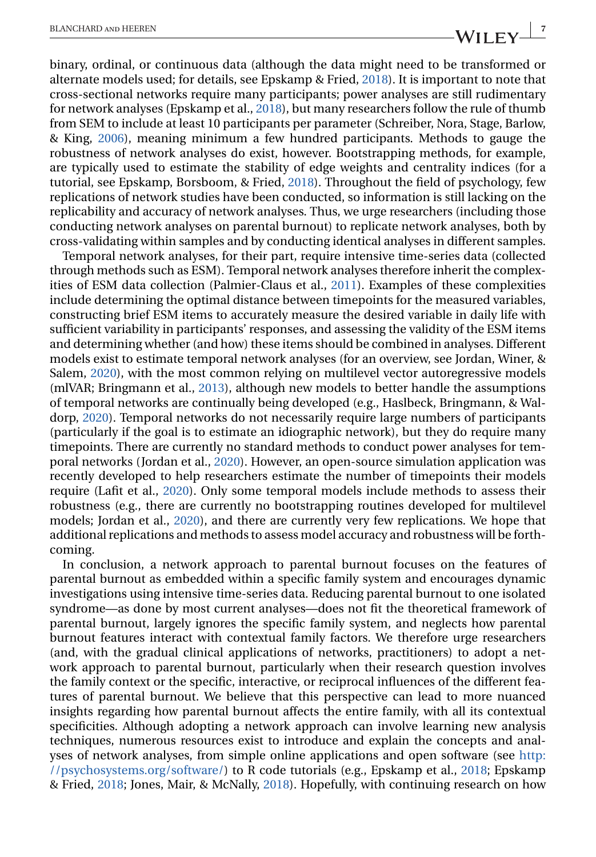binary, ordinal, or continuous data (although the data might need to be transformed or alternate models used; for details, see Epskamp & Fried, [2018\)](#page-8-0). It is important to note that cross-sectional networks require many participants; power analyses are still rudimentary for network analyses (Epskamp et al., [2018\)](#page-8-0), but many researchers follow the rule of thumb from SEM to include at least 10 participants per parameter (Schreiber, Nora, Stage, Barlow, & King, [2006\)](#page-9-0), meaning minimum a few hundred participants. Methods to gauge the robustness of network analyses do exist, however. Bootstrapping methods, for example, are typically used to estimate the stability of edge weights and centrality indices (for a tutorial, see Epskamp, Borsboom, & Fried, [2018\)](#page-8-0). Throughout the field of psychology, few replications of network studies have been conducted, so information is still lacking on the replicability and accuracy of network analyses. Thus, we urge researchers (including those conducting network analyses on parental burnout) to replicate network analyses, both by cross-validating within samples and by conducting identical analyses in different samples.

Temporal network analyses, for their part, require intensive time-series data (collected through methods such as ESM). Temporal network analyses therefore inherit the complexities of ESM data collection (Palmier-Claus et al., [2011\)](#page-9-0). Examples of these complexities include determining the optimal distance between timepoints for the measured variables, constructing brief ESM items to accurately measure the desired variable in daily life with sufficient variability in participants' responses, and assessing the validity of the ESM items and determining whether (and how) these items should be combined in analyses. Different models exist to estimate temporal network analyses (for an overview, see Jordan, Winer, & Salem, [2020\)](#page-8-0), with the most common relying on multilevel vector autoregressive models (mlVAR; Bringmann et al., [2013\)](#page-8-0), although new models to better handle the assumptions of temporal networks are continually being developed (e.g., Haslbeck, Bringmann, & Waldorp, [2020\)](#page-8-0). Temporal networks do not necessarily require large numbers of participants (particularly if the goal is to estimate an idiographic network), but they do require many timepoints. There are currently no standard methods to conduct power analyses for temporal networks (Jordan et al., [2020\)](#page-8-0). However, an open-source simulation application was recently developed to help researchers estimate the number of timepoints their models require (Lafit et al., [2020\)](#page-8-0). Only some temporal models include methods to assess their robustness (e.g., there are currently no bootstrapping routines developed for multilevel models; Jordan et al., [2020\)](#page-8-0), and there are currently very few replications. We hope that additional replications and methods to assess model accuracy and robustness will be forthcoming.

In conclusion, a network approach to parental burnout focuses on the features of parental burnout as embedded within a specific family system and encourages dynamic investigations using intensive time-series data. Reducing parental burnout to one isolated syndrome—as done by most current analyses—does not fit the theoretical framework of parental burnout, largely ignores the specific family system, and neglects how parental burnout features interact with contextual family factors. We therefore urge researchers (and, with the gradual clinical applications of networks, practitioners) to adopt a network approach to parental burnout, particularly when their research question involves the family context or the specific, interactive, or reciprocal influences of the different features of parental burnout. We believe that this perspective can lead to more nuanced insights regarding how parental burnout affects the entire family, with all its contextual specificities. Although adopting a network approach can involve learning new analysis techniques, numerous resources exist to introduce and explain the concepts and analyses of network analyses, from simple online applications and open software (see [http:](http://psychosystems.org/software/) [//psychosystems.org/software/\)](http://psychosystems.org/software/) to R code tutorials (e.g., Epskamp et al., [2018;](#page-8-0) Epskamp & Fried, [2018;](#page-8-0) Jones, Mair, & McNally, [2018\)](#page-8-0). Hopefully, with continuing research on how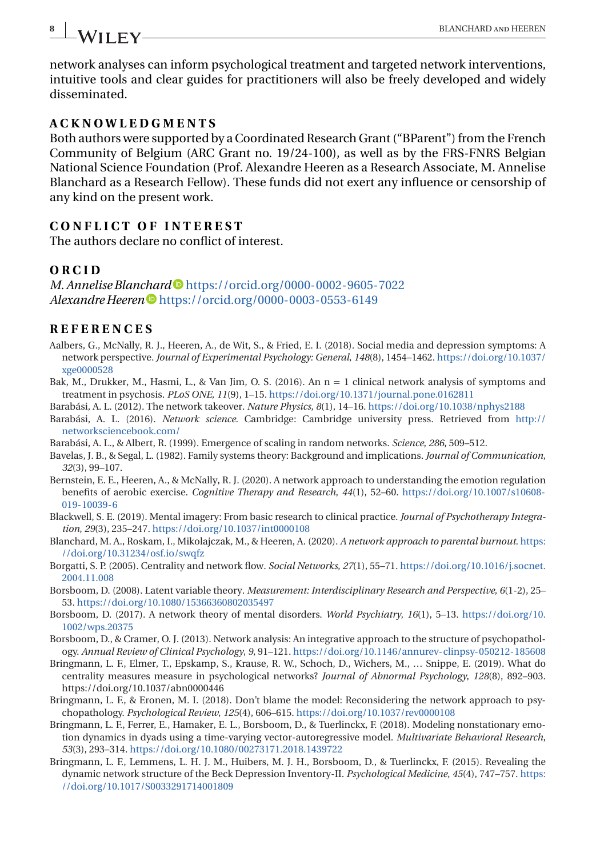# <span id="page-7-0"></span>**8** BLANCHARD AND HEEREN<br>**BLANCHARD AND HEEREN**

network analyses can inform psychological treatment and targeted network interventions, intuitive tools and clear guides for practitioners will also be freely developed and widely disseminated.

# **ACKNOWLEDGMENTS**

Both authors were supported by a Coordinated Research Grant ("BParent") from the French Community of Belgium (ARC Grant no. 19/24-100), as well as by the FRS-FNRS Belgian National Science Foundation (Prof. Alexandre Heeren as a Research Associate, M. Annelise Blanchard as a Research Fellow). These funds did not exert any influence or censorship of any kind on the present work.

# **CONFLICT OF INTEREST**

The authors declare no conflict of interest.

## **ORCID**

*M. Annelise Blanchard* <https://orcid.org/0000-0002-9605-7022> *Alexandre Heeren* **I** <https://orcid.org/0000-0003-0553-6149>

## **REFERENCES**

- Aalbers, G., McNally, R. J., Heeren, A., de Wit, S., & Fried, E. I. (2018). Social media and depression symptoms: A network perspective. *Journal of Experimental Psychology: General*, *148*(8), 1454–1462. [https://doi.org/10.1037/](https://doi.org/10.1037/xge0000528) [xge0000528](https://doi.org/10.1037/xge0000528)
- Bak, M., Drukker, M., Hasmi, L., & Van Jim, O. S. (2016). An n = 1 clinical network analysis of symptoms and treatment in psychosis. *PLoS ONE*, *11*(9), 1–15. <https://doi.org/10.1371/journal.pone.0162811>
- Barabási, A. L. (2012). The network takeover. *Nature Physics*, *8*(1), 14–16. <https://doi.org/10.1038/nphys2188>
- Barabási, A. L. (2016). *Network science*. Cambridge: Cambridge university press. Retrieved from [http://](http://networksciencebook.com/) [networksciencebook.com/](http://networksciencebook.com/)
- Barabási, A. L., & Albert, R. (1999). Emergence of scaling in random networks. *Science*, *286*, 509–512.
- Bavelas, J. B., & Segal, L. (1982). Family systems theory: Background and implications. *Journal of Communication*, *32*(3), 99–107.
- Bernstein, E. E., Heeren, A., & McNally, R. J. (2020). A network approach to understanding the emotion regulation benefits of aerobic exercise. *Cognitive Therapy and Research*, *44*(1), 52–60. [https://doi.org/10.1007/s10608-](https://doi.org/10.1007/s10608-019-10039-6) [019-10039-6](https://doi.org/10.1007/s10608-019-10039-6)
- Blackwell, S. E. (2019). Mental imagery: From basic research to clinical practice. *Journal of Psychotherapy Integration*, *29*(3), 235–247. <https://doi.org/10.1037/int0000108>
- Blanchard, M. A., Roskam, I., Mikolajczak, M., & Heeren, A. (2020). *A network approach to parental burnout*. [https:](https://doi.org/10.31234/osf.io/swqfz) [//doi.org/10.31234/osf.io/swqfz](https://doi.org/10.31234/osf.io/swqfz)
- Borgatti, S. P. (2005). Centrality and network flow. *Social Networks*, *27*(1), 55–71. [https://doi.org/10.1016/j.socnet.](https://doi.org/10.1016/j.socnet.2004.11.008) [2004.11.008](https://doi.org/10.1016/j.socnet.2004.11.008)
- Borsboom, D. (2008). Latent variable theory. *Measurement: Interdisciplinary Research and Perspective*, *6*(1-2), 25– 53. <https://doi.org/10.1080/15366360802035497>
- Borsboom, D. (2017). A network theory of mental disorders. *World Psychiatry*, *16*(1), 5–13. [https://doi.org/10.](https://doi.org/10.1002/wps.20375) [1002/wps.20375](https://doi.org/10.1002/wps.20375)
- Borsboom, D., & Cramer, O. J. (2013). Network analysis: An integrative approach to the structure of psychopathology. *Annual Review of Clinical Psychology*, *9*, 91–121. <https://doi.org/10.1146/annurev-clinpsy-050212-185608>
- Bringmann, L. F., Elmer, T., Epskamp, S., Krause, R. W., Schoch, D., Wichers, M., … Snippe, E. (2019). What do centrality measures measure in psychological networks? *Journal of Abnormal Psychology*, *128*(8), 892–903. https://doi.org/10.1037/abn0000446
- Bringmann, L. F., & Eronen, M. I. (2018). Don't blame the model: Reconsidering the network approach to psychopathology. *Psychological Review*, *125*(4), 606–615. <https://doi.org/10.1037/rev0000108>
- Bringmann, L. F., Ferrer, E., Hamaker, E. L., Borsboom, D., & Tuerlinckx, F. (2018). Modeling nonstationary emotion dynamics in dyads using a time-varying vector-autoregressive model. *Multivariate Behavioral Research*, *53*(3), 293–314. <https://doi.org/10.1080/00273171.2018.1439722>
- Bringmann, L. F., Lemmens, L. H. J. M., Huibers, M. J. H., Borsboom, D., & Tuerlinckx, F. (2015). Revealing the dynamic network structure of the Beck Depression Inventory-II. *Psychological Medicine*, *45*(4), 747–757. [https:](https://doi.org/10.1017/S0033291714001809) [//doi.org/10.1017/S0033291714001809](https://doi.org/10.1017/S0033291714001809)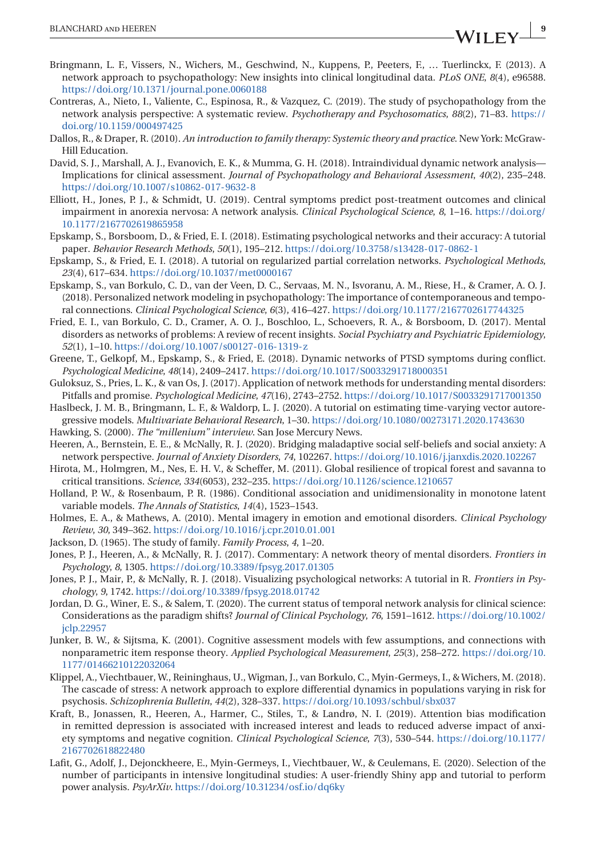- <span id="page-8-0"></span>Bringmann, L. F., Vissers, N., Wichers, M., Geschwind, N., Kuppens, P., Peeters, F., … Tuerlinckx, F. (2013). A network approach to psychopathology: New insights into clinical longitudinal data. *PLoS ONE*, *8*(4), e96588. <https://doi.org/10.1371/journal.pone.0060188>
- Contreras, A., Nieto, I., Valiente, C., Espinosa, R., & Vazquez, C. (2019). The study of psychopathology from the network analysis perspective: A systematic review. *Psychotherapy and Psychosomatics*, *88*(2), 71–83. [https://](https://doi.org/10.1159/000497425) [doi.org/10.1159/000497425](https://doi.org/10.1159/000497425)
- Dallos, R., & Draper, R. (2010). *An introduction to family therapy: Systemic theory and practice*. New York: McGraw-Hill Education.
- David, S. J., Marshall, A. J., Evanovich, E. K., & Mumma, G. H. (2018). Intraindividual dynamic network analysis— Implications for clinical assessment. *Journal of Psychopathology and Behavioral Assessment*, *40*(2), 235–248. <https://doi.org/10.1007/s10862-017-9632-8>
- Elliott, H., Jones, P. J., & Schmidt, U. (2019). Central symptoms predict post-treatment outcomes and clinical impairment in anorexia nervosa: A network analysis. *Clinical Psychological Science*, *8*, 1–16. [https://doi.org/](https://doi.org/10.1177/2167702619865958) [10.1177/2167702619865958](https://doi.org/10.1177/2167702619865958)
- Epskamp, S., Borsboom, D., & Fried, E. I. (2018). Estimating psychological networks and their accuracy: A tutorial paper. *Behavior Research Methods*, *50*(1), 195–212. <https://doi.org/10.3758/s13428-017-0862-1>
- Epskamp, S., & Fried, E. I. (2018). A tutorial on regularized partial correlation networks. *Psychological Methods*, *23*(4), 617–634. <https://doi.org/10.1037/met0000167>
- Epskamp, S., van Borkulo, C. D., van der Veen, D. C., Servaas, M. N., Isvoranu, A. M., Riese, H., & Cramer, A. O. J. (2018). Personalized network modeling in psychopathology: The importance of contemporaneous and temporal connections. *Clinical Psychological Science*, *6*(3), 416–427. <https://doi.org/10.1177/2167702617744325>
- Fried, E. I., van Borkulo, C. D., Cramer, A. O. J., Boschloo, L., Schoevers, R. A., & Borsboom, D. (2017). Mental disorders as networks of problems: A review of recent insights. *Social Psychiatry and Psychiatric Epidemiology*, *52*(1), 1–10. <https://doi.org/10.1007/s00127-016-1319-z>
- Greene, T., Gelkopf, M., Epskamp, S., & Fried, E. (2018). Dynamic networks of PTSD symptoms during conflict. *Psychological Medicine*, *48*(14), 2409–2417. <https://doi.org/10.1017/S0033291718000351>
- Guloksuz, S., Pries, L. K., & van Os, J. (2017). Application of network methods for understanding mental disorders: Pitfalls and promise. *Psychological Medicine*, *47*(16), 2743–2752. <https://doi.org/10.1017/S0033291717001350>
- Haslbeck, J. M. B., Bringmann, L. F., & Waldorp, L. J. (2020). A tutorial on estimating time-varying vector autoregressive models. *Multivariate Behavioral Research*, 1–30. <https://doi.org/10.1080/00273171.2020.1743630>
- Hawking, S. (2000). *The "millenium" interview*. San Jose Mercury News.
- Heeren, A., Bernstein, E. E., & McNally, R. J. (2020). Bridging maladaptive social self-beliefs and social anxiety: A network perspective. *Journal of Anxiety Disorders*, *74*, 102267. <https://doi.org/10.1016/j.janxdis.2020.102267>
- Hirota, M., Holmgren, M., Nes, E. H. V., & Scheffer, M. (2011). Global resilience of tropical forest and savanna to critical transitions. *Science*, *334*(6053), 232–235. <https://doi.org/10.1126/science.1210657>
- Holland, P. W., & Rosenbaum, P. R. (1986). Conditional association and unidimensionality in monotone latent variable models. *The Annals of Statistics*, *14*(4), 1523–1543.
- Holmes, E. A., & Mathews, A. (2010). Mental imagery in emotion and emotional disorders. *Clinical Psychology Review*, *30*, 349–362. <https://doi.org/10.1016/j.cpr.2010.01.001>
- Jackson, D. (1965). The study of family. *Family Process*, *4*, 1–20.
- Jones, P. J., Heeren, A., & McNally, R. J. (2017). Commentary: A network theory of mental disorders. *Frontiers in Psychology*, *8*, 1305. <https://doi.org/10.3389/fpsyg.2017.01305>
- Jones, P. J., Mair, P., & McNally, R. J. (2018). Visualizing psychological networks: A tutorial in R. *Frontiers in Psychology*, *9*, 1742. <https://doi.org/10.3389/fpsyg.2018.01742>
- Jordan, D. G., Winer, E. S., & Salem, T. (2020). The current status of temporal network analysis for clinical science: Considerations as the paradigm shifts? *Journal of Clinical Psychology*, *76*, 1591–1612. [https://doi.org/10.1002/](https://doi.org/10.1002/jclp.22957) [jclp.22957](https://doi.org/10.1002/jclp.22957)
- Junker, B. W., & Sijtsma, K. (2001). Cognitive assessment models with few assumptions, and connections with nonparametric item response theory. *Applied Psychological Measurement*, *25*(3), 258–272. [https://doi.org/10.](https://doi.org/10.1177/01466210122032064) [1177/01466210122032064](https://doi.org/10.1177/01466210122032064)
- Klippel, A., Viechtbauer, W., Reininghaus, U., Wigman, J., van Borkulo, C., Myin-Germeys, I., & Wichers, M. (2018). The cascade of stress: A network approach to explore differential dynamics in populations varying in risk for psychosis. *Schizophrenia Bulletin*, *44*(2), 328–337. <https://doi.org/10.1093/schbul/sbx037>
- Kraft, B., Jonassen, R., Heeren, A., Harmer, C., Stiles, T., & Landrø, N. I. (2019). Attention bias modification in remitted depression is associated with increased interest and leads to reduced adverse impact of anxiety symptoms and negative cognition. *Clinical Psychological Science*, *7*(3), 530–544. [https://doi.org/10.1177/](https://doi.org/10.1177/2167702618822480) [2167702618822480](https://doi.org/10.1177/2167702618822480)
- Lafit, G., Adolf, J., Dejonckheere, E., Myin-Germeys, I., Viechtbauer, W., & Ceulemans, E. (2020). Selection of the number of participants in intensive longitudinal studies: A user-friendly Shiny app and tutorial to perform power analysis. *PsyArXiv*. <https://doi.org/10.31234/osf.io/dq6ky>